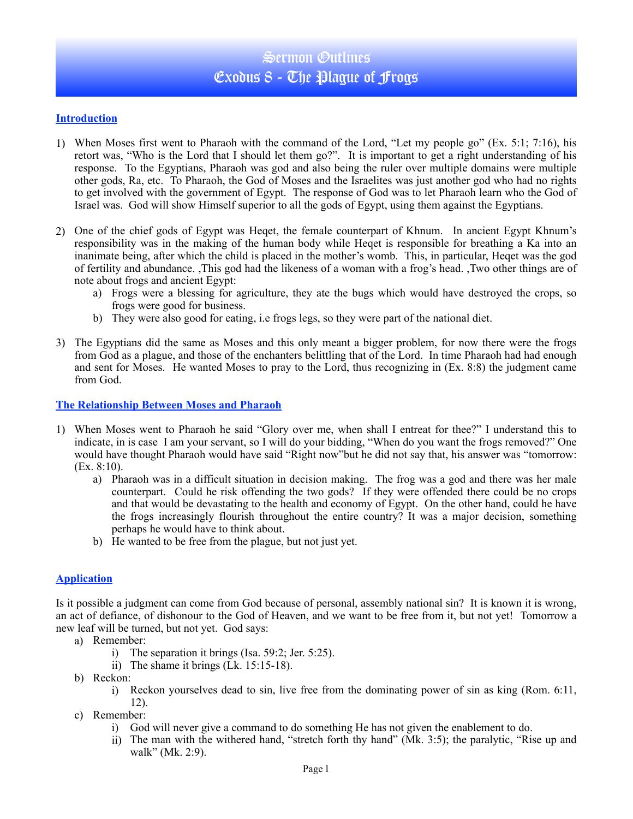# Sermon Outlines Exodus  $S$  - The Plague of Frogs

#### **Introduction**

- 1) When Moses first went to Pharaoh with the command of the Lord, "Let my people go" (Ex. 5:1; 7:16), his retort was, "Who is the Lord that I should let them go?". It is important to get a right understanding of his response. To the Egyptians, Pharaoh was god and also being the ruler over multiple domains were multiple other gods, Ra, etc. To Pharaoh, the God of Moses and the Israelites was just another god who had no rights to get involved with the government of Egypt. The response of God was to let Pharaoh learn who the God of Israel was. God will show Himself superior to all the gods of Egypt, using them against the Egyptians.
- 2) One of the chief gods of Egypt was Heqet, the female counterpart of Khnum. In ancient Egypt Khnum's responsibility was in the making of the human body while Heqet is responsible for breathing a Ka into an inanimate being, after which the child is placed in the mother's womb. This, in particular, Heqet was the god of fertility and abundance. ,This god had the likeness of a woman with a frog's head. ,Two other things are of note about frogs and ancient Egypt:
	- a) Frogs were a blessing for agriculture, they ate the bugs which would have destroyed the crops, so frogs were good for business.
	- b) They were also good for eating, i.e frogs legs, so they were part of the national diet.
- 3) The Egyptians did the same as Moses and this only meant a bigger problem, for now there were the frogs from God as a plague, and those of the enchanters belittling that of the Lord. In time Pharaoh had had enough and sent for Moses. He wanted Moses to pray to the Lord, thus recognizing in (Ex. 8:8) the judgment came from God.

#### **The Relationship Between Moses and Pharaoh**

- 1) When Moses went to Pharaoh he said "Glory over me, when shall I entreat for thee?" I understand this to indicate, in is case I am your servant, so I will do your bidding, "When do you want the frogs removed?" One would have thought Pharaoh would have said "Right now"but he did not say that, his answer was "tomorrow: (Ex. 8:10).
	- a) Pharaoh was in a difficult situation in decision making. The frog was a god and there was her male counterpart. Could he risk offending the two gods? If they were offended there could be no crops and that would be devastating to the health and economy of Egypt. On the other hand, could he have the frogs increasingly flourish throughout the entire country? It was a major decision, something perhaps he would have to think about.
	- b) He wanted to be free from the plague, but not just yet.

### **Application**

Is it possible a judgment can come from God because of personal, assembly national sin? It is known it is wrong, an act of defiance, of dishonour to the God of Heaven, and we want to be free from it, but not yet! Tomorrow a new leaf will be turned, but not yet. God says:

- a) Remember:
	- i) The separation it brings (Isa. 59:2; Jer. 5:25).
	- ii) The shame it brings (Lk. 15:15-18).
- b) Reckon:
	- i) Reckon yourselves dead to sin, live free from the dominating power of sin as king (Rom. 6:11, 12).
- c) Remember:
	- i) God will never give a command to do something He has not given the enablement to do.
	- ii) The man with the withered hand, "stretch forth thy hand" (Mk. 3:5); the paralytic, "Rise up and walk" (Mk. 2:9).